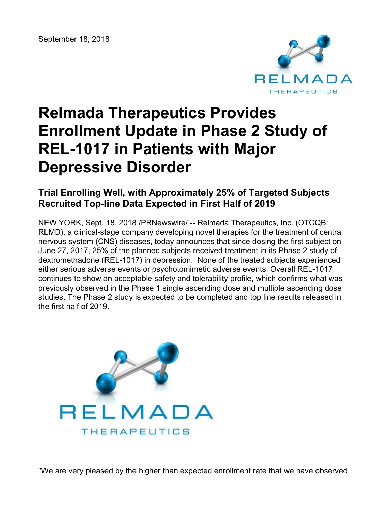

# **Relmada Therapeutics Provides Enrollment Update in Phase 2 Study of REL-1017 in Patients with Major Depressive Disorder**

## **Trial Enrolling Well, with Approximately 25% of Targeted Subjects Recruited Top-line Data Expected in First Half of 2019**

NEW YORK, Sept. 18, 2018 /PRNewswire/ -- Relmada Therapeutics, Inc. (OTCQB: RLMD), a clinical-stage company developing novel therapies for the treatment of central nervous system (CNS) diseases, today announces that since dosing the first subject on June 27, 2017, 25% of the planned subjects received treatment in its Phase 2 study of dextromethadone (REL-1017) in depression. None of the treated subjects experienced either serious adverse events or psychotomimetic adverse events. Overall REL-1017 continues to show an acceptable safety and tolerability profile, which confirms what was previously observed in the Phase 1 single ascending dose and multiple ascending dose studies. The Phase 2 study is expected to be completed and top line results released in the first half of 2019.

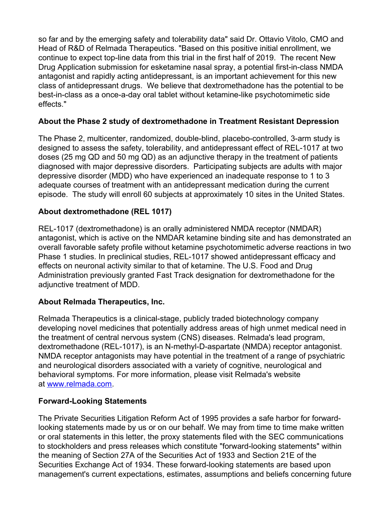so far and by the emerging safety and tolerability data" said Dr. Ottavio Vitolo, CMO and Head of R&D of Relmada Therapeutics. "Based on this positive initial enrollment, we continue to expect top-line data from this trial in the first half of 2019. The recent New Drug Application submission for esketamine nasal spray, a potential first-in-class NMDA antagonist and rapidly acting antidepressant, is an important achievement for this new class of antidepressant drugs. We believe that dextromethadone has the potential to be best-in-class as a once-a-day oral tablet without ketamine-like psychotomimetic side effects."

### **About the Phase 2 study of dextromethadone in Treatment Resistant Depression**

The Phase 2, multicenter, randomized, double-blind, placebo-controlled, 3-arm study is designed to assess the safety, tolerability, and antidepressant effect of REL-1017 at two doses (25 mg QD and 50 mg QD) as an adjunctive therapy in the treatment of patients diagnosed with major depressive disorders. Participating subjects are adults with major depressive disorder (MDD) who have experienced an inadequate response to 1 to 3 adequate courses of treatment with an antidepressant medication during the current episode. The study will enroll 60 subjects at approximately 10 sites in the United States.

#### **About dextromethadone (REL 1017)**

REL-1017 (dextromethadone) is an orally administered NMDA receptor (NMDAR) antagonist, which is active on the NMDAR ketamine binding site and has demonstrated an overall favorable safety profile without ketamine psychotomimetic adverse reactions in two Phase 1 studies. In preclinical studies, REL-1017 showed antidepressant efficacy and effects on neuronal activity similar to that of ketamine. The U.S. Food and Drug Administration previously granted Fast Track designation for dextromethadone for the adjunctive treatment of MDD.

#### **About Relmada Therapeutics, Inc.**

Relmada Therapeutics is a clinical-stage, publicly traded biotechnology company developing novel medicines that potentially address areas of high unmet medical need in the treatment of central nervous system (CNS) diseases. Relmada's lead program, dextromethadone (REL-1017), is an N-methyl-D-aspartate (NMDA) receptor antagonist. NMDA receptor antagonists may have potential in the treatment of a range of psychiatric and neurological disorders associated with a variety of cognitive, neurological and behavioral symptoms. For more information, please visit Relmada's website at [www.relmada.com](http://www.relmada.com/).

#### **Forward-Looking Statements**

The Private Securities Litigation Reform Act of 1995 provides a safe harbor for forwardlooking statements made by us or on our behalf. We may from time to time make written or oral statements in this letter, the proxy statements filed with the SEC communications to stockholders and press releases which constitute "forward-looking statements" within the meaning of Section 27A of the Securities Act of 1933 and Section 21E of the Securities Exchange Act of 1934. These forward-looking statements are based upon management's current expectations, estimates, assumptions and beliefs concerning future